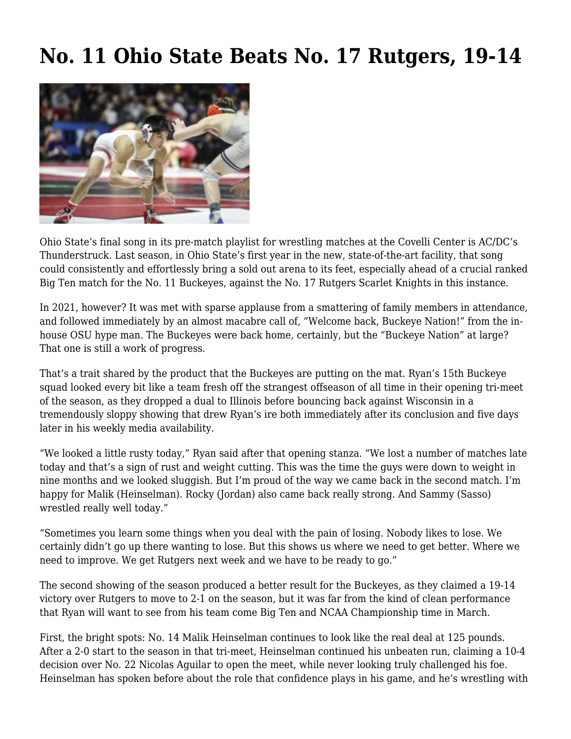## **[No. 11 Ohio State Beats No. 17 Rutgers, 19-14](https://www.buckeyesports.com/no-11-ohio-state-beats-no-17-rutgers-19-14/)**



Ohio State's final song in its pre-match playlist for wrestling matches at the Covelli Center is AC/DC's Thunderstruck. Last season, in Ohio State's first year in the new, state-of-the-art facility, that song could consistently and effortlessly bring a sold out arena to its feet, especially ahead of a crucial ranked Big Ten match for the No. 11 Buckeyes, against the No. 17 Rutgers Scarlet Knights in this instance.

In 2021, however? It was met with sparse applause from a smattering of family members in attendance, and followed immediately by an almost macabre call of, "Welcome back, Buckeye Nation!" from the inhouse OSU hype man. The Buckeyes were back home, certainly, but the "Buckeye Nation" at large? That one is still a work of progress.

That's a trait shared by the product that the Buckeyes are putting on the mat. Ryan's 15th Buckeye squad looked every bit like a team fresh off the strangest offseason of all time in their opening tri-meet of the season, as they dropped a dual to Illinois before bouncing back against Wisconsin in a tremendously sloppy showing that drew Ryan's ire both immediately after its conclusion and five days later in his weekly media availability.

"We looked a little rusty today," Ryan said after that opening stanza. "We lost a number of matches late today and that's a sign of rust and weight cutting. This was the time the guys were down to weight in nine months and we looked sluggish. But I'm proud of the way we came back in the second match. I'm happy for Malik (Heinselman). Rocky (Jordan) also came back really strong. And Sammy (Sasso) wrestled really well today."

"Sometimes you learn some things when you deal with the pain of losing. Nobody likes to lose. We certainly didn't go up there wanting to lose. But this shows us where we need to get better. Where we need to improve. We get Rutgers next week and we have to be ready to go."

The second showing of the season produced a better result for the Buckeyes, as they claimed a 19-14 victory over Rutgers to move to 2-1 on the season, but it was far from the kind of clean performance that Ryan will want to see from his team come Big Ten and NCAA Championship time in March.

First, the bright spots: No. 14 Malik Heinselman continues to look like the real deal at 125 pounds. After a 2-0 start to the season in that tri-meet, Heinselman continued his unbeaten run, claiming a 10-4 decision over No. 22 Nicolas Aguilar to open the meet, while never looking truly challenged his foe. Heinselman has spoken before about the role that confidence plays in his game, and he's wrestling with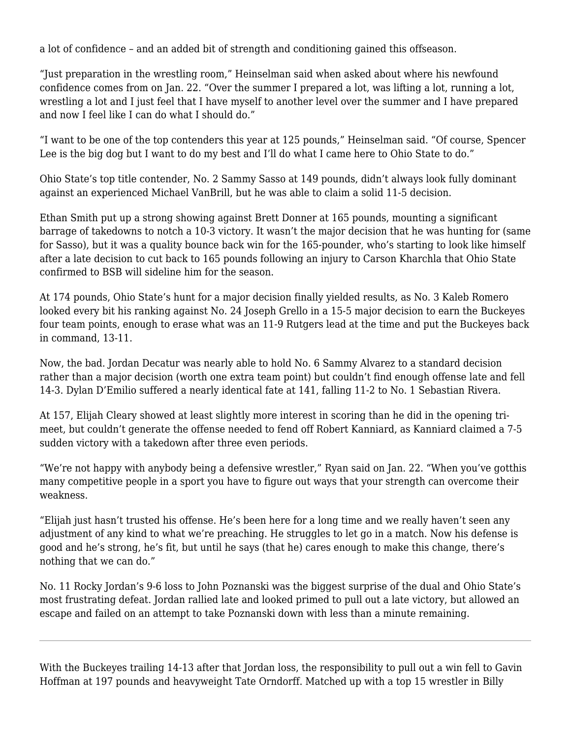a lot of confidence – and an added bit of strength and conditioning gained this offseason.

"Just preparation in the wrestling room," Heinselman said when asked about where his newfound confidence comes from on Jan. 22. "Over the summer I prepared a lot, was lifting a lot, running a lot, wrestling a lot and I just feel that I have myself to another level over the summer and I have prepared and now I feel like I can do what I should do."

"I want to be one of the top contenders this year at 125 pounds," Heinselman said. "Of course, Spencer Lee is the big dog but I want to do my best and I'll do what I came here to Ohio State to do."

Ohio State's top title contender, No. 2 Sammy Sasso at 149 pounds, didn't always look fully dominant against an experienced Michael VanBrill, but he was able to claim a solid 11-5 decision.

Ethan Smith put up a strong showing against Brett Donner at 165 pounds, mounting a significant barrage of takedowns to notch a 10-3 victory. It wasn't the major decision that he was hunting for (same for Sasso), but it was a quality bounce back win for the 165-pounder, who's starting to look like himself after a late decision to cut back to 165 pounds following an injury to Carson Kharchla that Ohio State confirmed to BSB will sideline him for the season.

At 174 pounds, Ohio State's hunt for a major decision finally yielded results, as No. 3 Kaleb Romero looked every bit his ranking against No. 24 Joseph Grello in a 15-5 major decision to earn the Buckeyes four team points, enough to erase what was an 11-9 Rutgers lead at the time and put the Buckeyes back in command, 13-11.

Now, the bad. Jordan Decatur was nearly able to hold No. 6 Sammy Alvarez to a standard decision rather than a major decision (worth one extra team point) but couldn't find enough offense late and fell 14-3. Dylan D'Emilio suffered a nearly identical fate at 141, falling 11-2 to No. 1 Sebastian Rivera.

At 157, Elijah Cleary showed at least slightly more interest in scoring than he did in the opening trimeet, but couldn't generate the offense needed to fend off Robert Kanniard, as Kanniard claimed a 7-5 sudden victory with a takedown after three even periods.

"We're not happy with anybody being a defensive wrestler," Ryan said on Jan. 22. "When you've gotthis many competitive people in a sport you have to figure out ways that your strength can overcome their weakness.

"Elijah just hasn't trusted his offense. He's been here for a long time and we really haven't seen any adjustment of any kind to what we're preaching. He struggles to let go in a match. Now his defense is good and he's strong, he's fit, but until he says (that he) cares enough to make this change, there's nothing that we can do."

No. 11 Rocky Jordan's 9-6 loss to John Poznanski was the biggest surprise of the dual and Ohio State's most frustrating defeat. Jordan rallied late and looked primed to pull out a late victory, but allowed an escape and failed on an attempt to take Poznanski down with less than a minute remaining.

With the Buckeyes trailing 14-13 after that Jordan loss, the responsibility to pull out a win fell to Gavin Hoffman at 197 pounds and heavyweight Tate Orndorff. Matched up with a top 15 wrestler in Billy